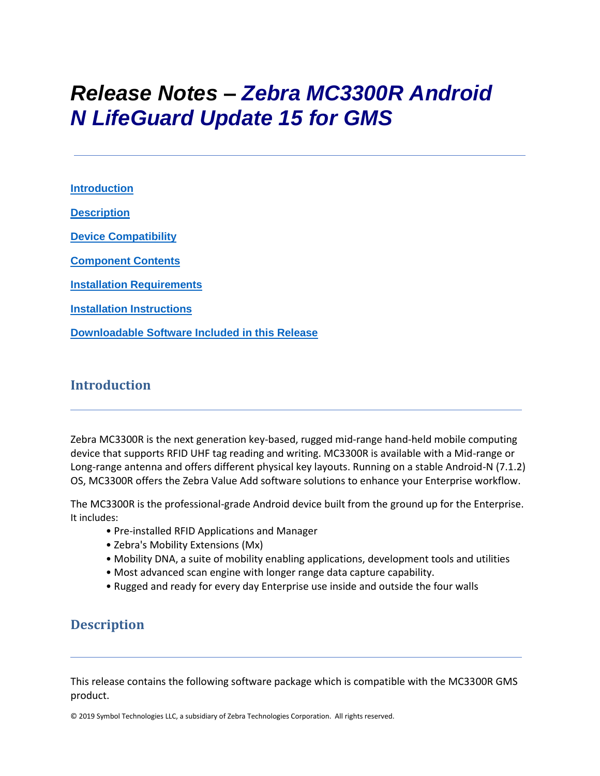# *Release Notes – Zebra MC3300R Android N LifeGuard Update 15 for GMS*

**[Introduction](#page-0-0) [Description](#page-0-1) [Device Compatibility](#page-4-0) [Component Contents](#page-1-0) [Installation Requirements](#page-4-1) [Installation Instructions](#page-5-0)**

**[Downloadable Software Included in this Release](#page-8-0)**

## <span id="page-0-0"></span>**Introduction**

Zebra MC3300R is the next generation key-based, rugged mid-range hand-held mobile computing device that supports RFID UHF tag reading and writing. MC3300R is available with a Mid-range or Long-range antenna and offers different physical key layouts. Running on a stable Android-N (7.1.2) OS, MC3300R offers the Zebra Value Add software solutions to enhance your Enterprise workflow.

The MC3300R is the professional-grade Android device built from the ground up for the Enterprise. It includes:

- Pre-installed RFID Applications and Manager
- Zebra's Mobility Extensions (Mx)
- Mobility DNA, a suite of mobility enabling applications, development tools and utilities
- Most advanced scan engine with longer range data capture capability.
- Rugged and ready for every day Enterprise use inside and outside the four walls

## <span id="page-0-1"></span>**Description**

This release contains the following software package which is compatible with the MC3300R GMS product.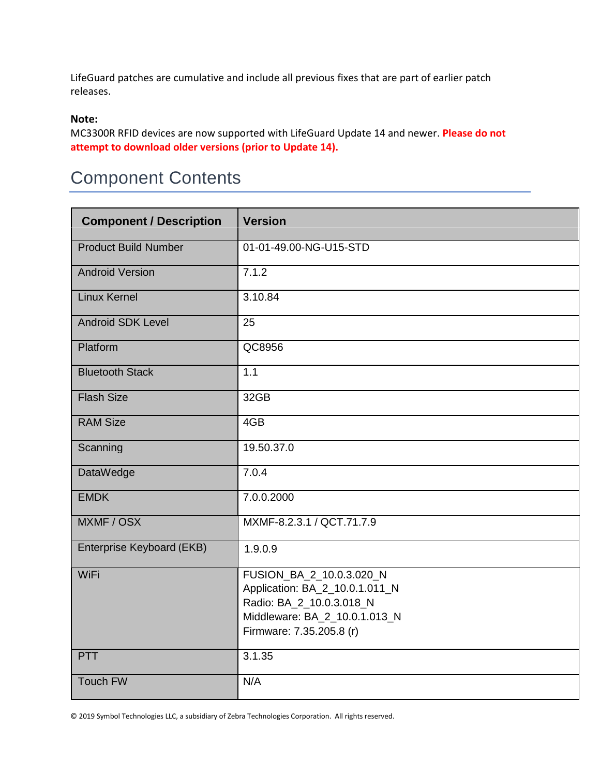LifeGuard patches are cumulative and include all previous fixes that are part of earlier patch releases.

#### **Note:**

MC3300R RFID devices are now supported with LifeGuard Update 14 and newer. **Please do not attempt to download older versions (prior to Update 14).**

## <span id="page-1-0"></span>Component Contents

| <b>Component / Description</b> | <b>Version</b>                                                                                                                                      |  |
|--------------------------------|-----------------------------------------------------------------------------------------------------------------------------------------------------|--|
| <b>Product Build Number</b>    | 01-01-49.00-NG-U15-STD                                                                                                                              |  |
| <b>Android Version</b>         | 7.1.2                                                                                                                                               |  |
| Linux Kernel                   | 3.10.84                                                                                                                                             |  |
| <b>Android SDK Level</b>       | 25                                                                                                                                                  |  |
| Platform                       | QC8956                                                                                                                                              |  |
| <b>Bluetooth Stack</b>         | 1.1                                                                                                                                                 |  |
| <b>Flash Size</b>              | 32GB                                                                                                                                                |  |
| <b>RAM Size</b>                | 4GB                                                                                                                                                 |  |
| Scanning                       | 19.50.37.0                                                                                                                                          |  |
| <b>DataWedge</b>               | 7.0.4                                                                                                                                               |  |
| <b>EMDK</b>                    | 7.0.0.2000                                                                                                                                          |  |
| MXMF / OSX                     | MXMF-8.2.3.1 / QCT.71.7.9                                                                                                                           |  |
| Enterprise Keyboard (EKB)      | 1.9.0.9                                                                                                                                             |  |
| WiFi                           | FUSION_BA_2_10.0.3.020_N<br>Application: BA_2_10.0.1.011_N<br>Radio: BA_2_10.0.3.018_N<br>Middleware: BA_2_10.0.1.013_N<br>Firmware: 7.35.205.8 (r) |  |
| <b>PTT</b>                     | 3.1.35                                                                                                                                              |  |
| <b>Touch FW</b>                | N/A                                                                                                                                                 |  |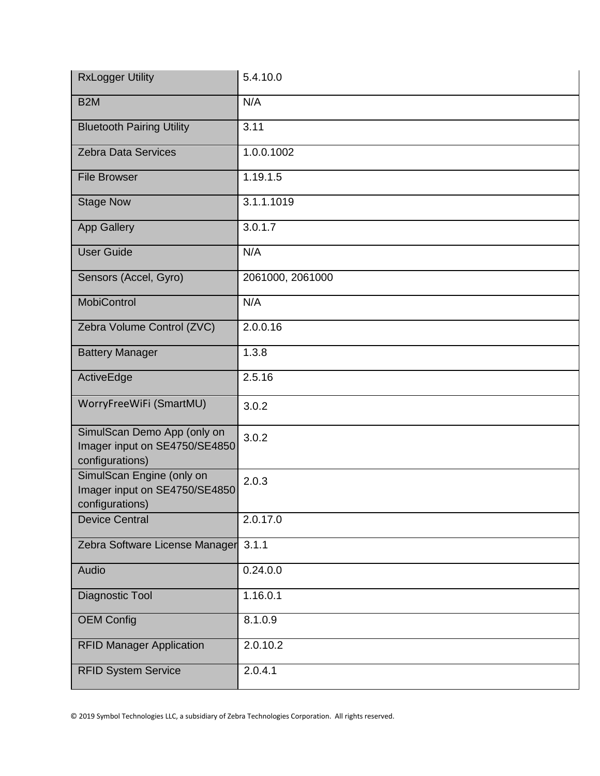| <b>RxLogger Utility</b>                                                         | 5.4.10.0         |
|---------------------------------------------------------------------------------|------------------|
| B <sub>2</sub> M                                                                | N/A              |
| <b>Bluetooth Pairing Utility</b>                                                | 3.11             |
| <b>Zebra Data Services</b>                                                      | 1.0.0.1002       |
| <b>File Browser</b>                                                             | 1.19.1.5         |
| <b>Stage Now</b>                                                                | 3.1.1.1019       |
| <b>App Gallery</b>                                                              | 3.0.1.7          |
| <b>User Guide</b>                                                               | N/A              |
| Sensors (Accel, Gyro)                                                           | 2061000, 2061000 |
| <b>MobiControl</b>                                                              | N/A              |
| Zebra Volume Control (ZVC)                                                      | 2.0.0.16         |
| <b>Battery Manager</b>                                                          | 1.3.8            |
| ActiveEdge                                                                      | 2.5.16           |
| WorryFreeWiFi (SmartMU)                                                         | 3.0.2            |
| SimulScan Demo App (only on<br>Imager input on SE4750/SE4850<br>configurations) | 3.0.2            |
| SimulScan Engine (only on<br>Imager input on SE4750/SE4850<br>configurations)   | 2.0.3            |
| <b>Device Central</b>                                                           | 2.0.17.0         |
| Zebra Software License Manager                                                  | 3.1.1            |
| Audio                                                                           | 0.24.0.0         |
| Diagnostic Tool                                                                 | 1.16.0.1         |
| <b>OEM Config</b>                                                               | 8.1.0.9          |
| <b>RFID Manager Application</b>                                                 | 2.0.10.2         |
| <b>RFID System Service</b>                                                      | 2.0.4.1          |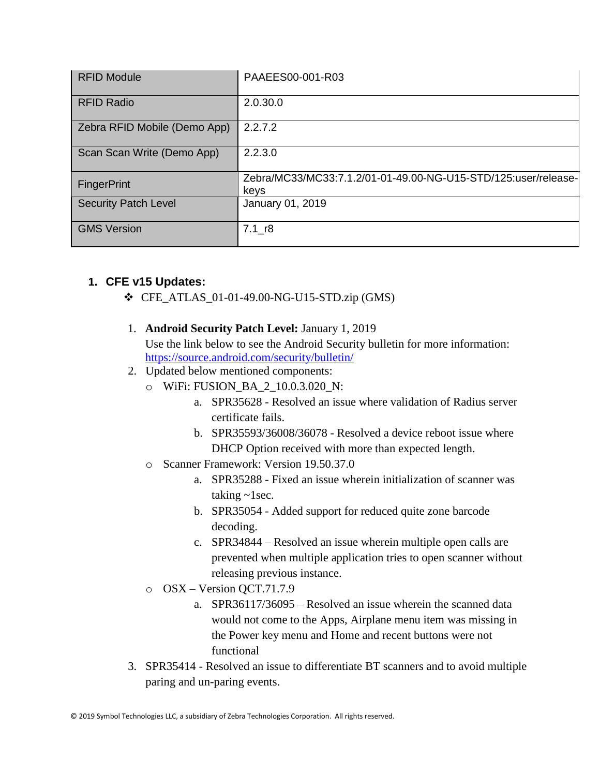| <b>RFID Module</b>           | PAAEES00-001-R03                                                       |
|------------------------------|------------------------------------------------------------------------|
| <b>RFID Radio</b>            | 2.0.30.0                                                               |
| Zebra RFID Mobile (Demo App) | 2.2.7.2                                                                |
| Scan Scan Write (Demo App)   | 2.2.3.0                                                                |
| <b>FingerPrint</b>           | Zebra/MC33/MC33:7.1.2/01-01-49.00-NG-U15-STD/125:user/release-<br>keys |
| <b>Security Patch Level</b>  | January 01, 2019                                                       |
| <b>GMS Version</b>           | $7.1$ <sub>r8</sub>                                                    |

## **1. CFE v15 Updates:**

- ❖ CFE\_ATLAS\_01-01-49.00-NG-U15-STD.zip (GMS)
- 1. **Android Security Patch Level:** January 1, 2019 Use the link below to see the Android Security bulletin for more information: <https://source.android.com/security/bulletin/>
- 2. Updated below mentioned components:
	- o WiFi: FUSION\_BA\_2\_10.0.3.020\_N:
		- a. SPR35628 Resolved an issue where validation of Radius server certificate fails.
		- b. SPR35593/36008/36078 Resolved a device reboot issue where DHCP Option received with more than expected length.
	- o Scanner Framework: Version 19.50.37.0
		- a. SPR35288 Fixed an issue wherein initialization of scanner was taking  $\sim$ 1sec.
		- b. SPR35054 Added support for reduced quite zone barcode decoding.
		- c. SPR34844 Resolved an issue wherein multiple open calls are prevented when multiple application tries to open scanner without releasing previous instance.
	- o OSX Version QCT.71.7.9
		- a. SPR36117/36095 Resolved an issue wherein the scanned data would not come to the Apps, Airplane menu item was missing in the Power key menu and Home and recent buttons were not functional
- 3. SPR35414 Resolved an issue to differentiate BT scanners and to avoid multiple paring and un-paring events.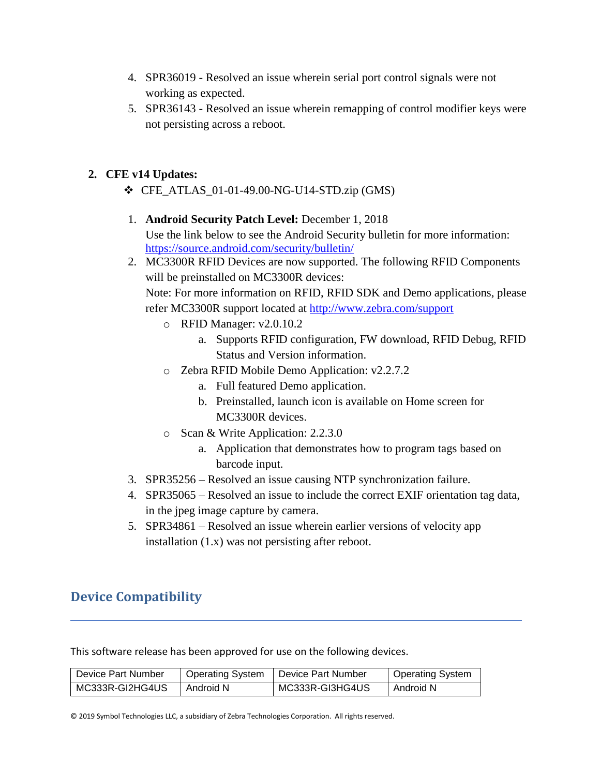- 4. SPR36019 Resolved an issue wherein serial port control signals were not working as expected.
- 5. SPR36143 Resolved an issue wherein remapping of control modifier keys were not persisting across a reboot.

## **2. CFE v14 Updates:**

- $\div$  CFE ATLAS 01-01-49.00-NG-U14-STD.zip (GMS)
- 1. **Android Security Patch Level:** December 1, 2018

Use the link below to see the Android Security bulletin for more information: <https://source.android.com/security/bulletin/>

2. MC3300R RFID Devices are now supported. The following RFID Components will be preinstalled on MC3300R devices:

Note: For more information on RFID, RFID SDK and Demo applications, please refer MC3300R support located at<http://www.zebra.com/support>

- o RFID Manager: v2.0.10.2
	- a. Supports RFID configuration, FW download, RFID Debug, RFID Status and Version information.
- o Zebra RFID Mobile Demo Application: v2.2.7.2
	- a. Full featured Demo application.
	- b. Preinstalled, launch icon is available on Home screen for MC3300R devices.
- o Scan & Write Application: 2.2.3.0
	- a. Application that demonstrates how to program tags based on barcode input.
- 3. SPR35256 Resolved an issue causing NTP synchronization failure.
- 4. SPR35065 Resolved an issue to include the correct EXIF orientation tag data, in the jpeg image capture by camera.
- <span id="page-4-1"></span>5. SPR34861 – Resolved an issue wherein earlier versions of velocity app installation (1.x) was not persisting after reboot.

## <span id="page-4-0"></span>**Device Compatibility**

This software release has been approved for use on the following devices.

| Device Part Number | <b>Operating System</b> | l Device Part Number | <b>Operating System</b> |
|--------------------|-------------------------|----------------------|-------------------------|
| MC333R-GI2HG4US    | Android N               | MC333R-GI3HG4US      | Android N               |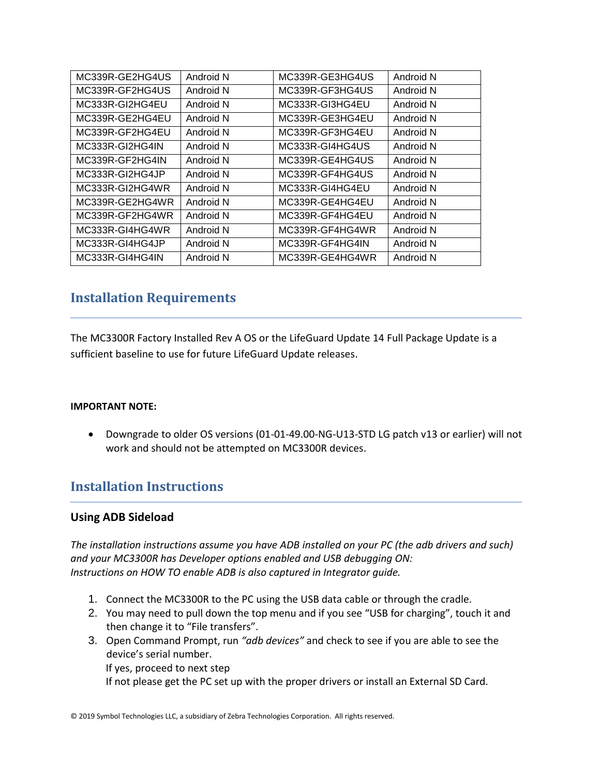| MC339R-GE2HG4US | Android N | MC339R-GE3HG4US | Android N |
|-----------------|-----------|-----------------|-----------|
| MC339R-GF2HG4US | Android N | MC339R-GF3HG4US | Android N |
| MC333R-GI2HG4EU | Android N | MC333R-GI3HG4EU | Android N |
| MC339R-GE2HG4EU | Android N | MC339R-GE3HG4EU | Android N |
| MC339R-GF2HG4EU | Android N | MC339R-GF3HG4EU | Android N |
| MC333R-GI2HG4IN | Android N | MC333R-GI4HG4US | Android N |
| MC339R-GF2HG4IN | Android N | MC339R-GE4HG4US | Android N |
| MC333R-GI2HG4JP | Android N | MC339R-GF4HG4US | Android N |
| MC333R-GI2HG4WR | Android N | MC333R-GI4HG4EU | Android N |
| MC339R-GE2HG4WR | Android N | MC339R-GE4HG4EU | Android N |
| MC339R-GF2HG4WR | Android N | MC339R-GF4HG4EU | Android N |
| MC333R-GI4HG4WR | Android N | MC339R-GF4HG4WR | Android N |
| MC333R-GI4HG4JP | Android N | MC339R-GF4HG4IN | Android N |
| MC333R-GI4HG4IN | Android N | MC339R-GE4HG4WR | Android N |

## **Installation Requirements**

The MC3300R Factory Installed Rev A OS or the LifeGuard Update 14 Full Package Update is a sufficient baseline to use for future LifeGuard Update releases.

#### **IMPORTANT NOTE:**

• Downgrade to older OS versions (01-01-49.00-NG-U13-STD LG patch v13 or earlier) will not work and should not be attempted on MC3300R devices.

## <span id="page-5-0"></span>**Installation Instructions**

#### **Using ADB Sideload**

*The installation instructions assume you have ADB installed on your PC (the adb drivers and such) and your MC3300R has Developer options enabled and USB debugging ON: Instructions on HOW TO enable ADB is also captured in Integrator guide.*

- 1. Connect the MC3300R to the PC using the USB data cable or through the cradle.
- 2. You may need to pull down the top menu and if you see "USB for charging", touch it and then change it to "File transfers".
- 3. Open Command Prompt, run *"adb devices"* and check to see if you are able to see the device's serial number.

If yes, proceed to next step

If not please get the PC set up with the proper drivers or install an External SD Card.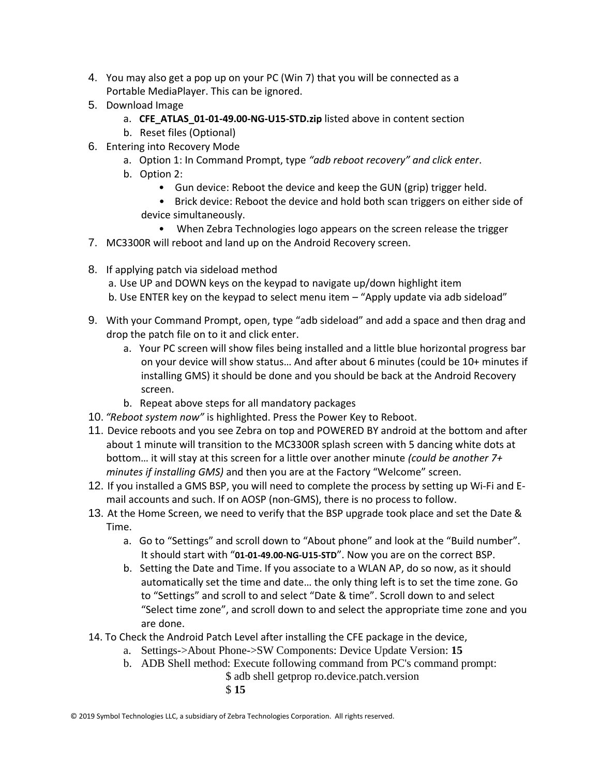- 4. You may also get a pop up on your PC (Win 7) that you will be connected as a Portable MediaPlayer. This can be ignored.
- 5. Download Image
	- a. **CFE\_ATLAS\_01-01-49.00-NG-U15-STD.zip** listed above in content section
	- b. Reset files (Optional)
- 6. Entering into Recovery Mode
	- a. Option 1: In Command Prompt, type *"adb reboot recovery" and click enter*.
	- b. Option 2:
		- Gun device: Reboot the device and keep the GUN (grip) trigger held.
		- Brick device: Reboot the device and hold both scan triggers on either side of device simultaneously.
- When Zebra Technologies logo appears on the screen release the trigger 7. MC3300R will reboot and land up on the Android Recovery screen.
- 8. If applying patch via sideload method
	- a. Use UP and DOWN keys on the keypad to navigate up/down highlight item b. Use ENTER key on the keypad to select menu item – "Apply update via adb sideload"
- 9. With your Command Prompt, open, type "adb sideload" and add a space and then drag and drop the patch file on to it and click enter.
	- a. Your PC screen will show files being installed and a little blue horizontal progress bar on your device will show status… And after about 6 minutes (could be 10+ minutes if installing GMS) it should be done and you should be back at the Android Recovery screen.
	- b. Repeat above steps for all mandatory packages
- 10. *"Reboot system now"* is highlighted. Press the Power Key to Reboot.
- 11. Device reboots and you see Zebra on top and POWERED BY android at the bottom and after about 1 minute will transition to the MC3300R splash screen with 5 dancing white dots at bottom… it will stay at this screen for a little over another minute *(could be another 7+ minutes if installing GMS)* and then you are at the Factory "Welcome" screen.
- 12. If you installed a GMS BSP, you will need to complete the process by setting up Wi‐Fi and E‐ mail accounts and such. If on AOSP (non‐GMS), there is no process to follow.
- 13. At the Home Screen, we need to verify that the BSP upgrade took place and set the Date & Time.
	- a. Go to "Settings" and scroll down to "About phone" and look at the "Build number". It should start with "**01-01-49.00-NG-U15-STD**". Now you are on the correct BSP.
	- b. Setting the Date and Time. If you associate to a WLAN AP, do so now, as it should automatically set the time and date… the only thing left is to set the time zone. Go to "Settings" and scroll to and select "Date & time". Scroll down to and select "Select time zone", and scroll down to and select the appropriate time zone and you are done.
- 14. To Check the Android Patch Level after installing the CFE package in the device,
	- a. Settings->About Phone->SW Components: Device Update Version: **15**
	- b. ADB Shell method: Execute following command from PC's command prompt:
		- \$ adb shell getprop ro.device.patch.version \$ **15**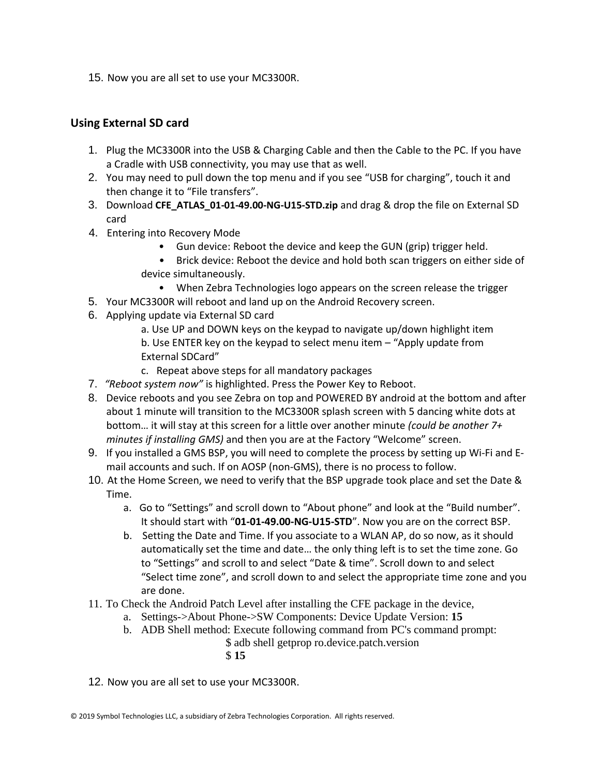15. Now you are all set to use your MC3300R.

### **Using External SD card**

- 1. Plug the MC3300R into the USB & Charging Cable and then the Cable to the PC. If you have a Cradle with USB connectivity, you may use that as well.
- 2. You may need to pull down the top menu and if you see "USB for charging", touch it and then change it to "File transfers".
- 3. Download **CFE\_ATLAS\_01-01-49.00-NG-U15-STD.zip** and drag & drop the file on External SD card
- 4. Entering into Recovery Mode
	- Gun device: Reboot the device and keep the GUN (grip) trigger held.
	- Brick device: Reboot the device and hold both scan triggers on either side of device simultaneously.
		- When Zebra Technologies logo appears on the screen release the trigger
- 5. Your MC3300R will reboot and land up on the Android Recovery screen.
- 6. Applying update via External SD card
	- a. Use UP and DOWN keys on the keypad to navigate up/down highlight item b. Use ENTER key on the keypad to select menu item – "Apply update from External SDCard"
	- c. Repeat above steps for all mandatory packages
- 7. *"Reboot system now"* is highlighted. Press the Power Key to Reboot.
- 8. Device reboots and you see Zebra on top and POWERED BY android at the bottom and after about 1 minute will transition to the MC3300R splash screen with 5 dancing white dots at bottom… it will stay at this screen for a little over another minute *(could be another 7+ minutes if installing GMS)* and then you are at the Factory "Welcome" screen.
- 9. If you installed a GMS BSP, you will need to complete the process by setting up Wi‐Fi and E‐ mail accounts and such. If on AOSP (non‐GMS), there is no process to follow.
- 10. At the Home Screen, we need to verify that the BSP upgrade took place and set the Date & Time.
	- a. Go to "Settings" and scroll down to "About phone" and look at the "Build number". It should start with "**01-01-49.00-NG-U15-STD**". Now you are on the correct BSP.
	- b. Setting the Date and Time. If you associate to a WLAN AP, do so now, as it should automatically set the time and date… the only thing left is to set the time zone. Go to "Settings" and scroll to and select "Date & time". Scroll down to and select "Select time zone", and scroll down to and select the appropriate time zone and you are done.
- 11. To Check the Android Patch Level after installing the CFE package in the device,
	- a. Settings->About Phone->SW Components: Device Update Version: **15**
	- b. ADB Shell method: Execute following command from PC's command prompt:
		- \$ adb shell getprop ro.device.patch.version
			- \$ **15**
- 12. Now you are all set to use your MC3300R.